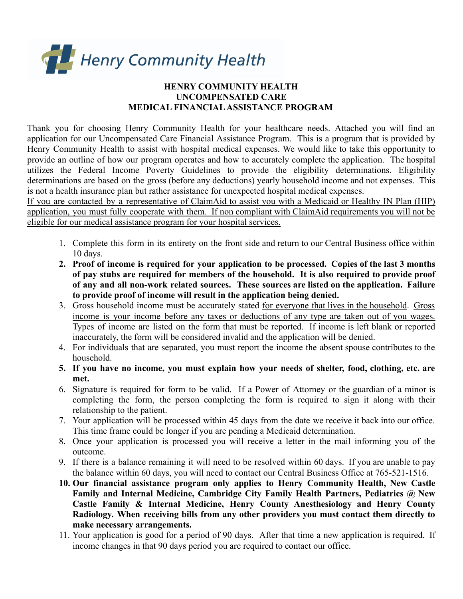

## **HENRY COMMUNITY HEALTH UNCOMPENSATED CARE MEDICAL FINANCIALASSISTANCE PROGRAM**

Thank you for choosing Henry Community Health for your healthcare needs. Attached you will find an application for our Uncompensated Care Financial Assistance Program. This is a program that is provided by Henry Community Health to assist with hospital medical expenses. We would like to take this opportunity to provide an outline of how our program operates and how to accurately complete the application. The hospital utilizes the Federal Income Poverty Guidelines to provide the eligibility determinations. Eligibility determinations are based on the gross (before any deductions) yearly household income and not expenses. This is not a health insurance plan but rather assistance for unexpected hospital medical expenses.

If you are contacted by a representative of ClaimAid to assist you with a Medicaid or Healthy IN Plan (HIP) application, you must fully cooperate with them. If non compliant with ClaimAid requirements you will not be eligible for our medical assistance program for your hospital services.

- 1. Complete this form in its entirety on the front side and return to our Central Business office within 10 days.
- **2. Proof of income is required for your application to be processed. Copies of the last 3 months of pay stubs are required for members of the household. It is also required to provide proof of any and all non-work related sources. These sources are listed on the application. Failure to provide proof of income will result in the application being denied.**
- 3. Gross household income must be accurately stated for everyone that lives in the household. Gross income is your income before any taxes or deductions of any type are taken out of you wages. Types of income are listed on the form that must be reported. If income is left blank or reported inaccurately, the form will be considered invalid and the application will be denied.
- 4. For individuals that are separated, you must report the income the absent spouse contributes to the household.
- **5. If you have no income, you must explain how your needs of shelter, food, clothing, etc. are met.**
- 6. Signature is required for form to be valid. If a Power of Attorney or the guardian of a minor is completing the form, the person completing the form is required to sign it along with their relationship to the patient.
- 7. Your application will be processed within 45 days from the date we receive it back into our office. This time frame could be longer if you are pending a Medicaid determination.
- 8. Once your application is processed you will receive a letter in the mail informing you of the outcome.
- 9. If there is a balance remaining it will need to be resolved within 60 days. If you are unable to pay the balance within 60 days, you will need to contact our Central Business Office at 765-521-1516.
- **10. Our financial assistance program only applies to Henry Community Health, New Castle Family and Internal Medicine, Cambridge City Family Health Partners, Pediatrics @ New Castle Family & Internal Medicine, Henry County Anesthesiology and Henry County Radiology. When receiving bills from any other providers you must contact them directly to make necessary arrangements.**
- 11. Your application is good for a period of 90 days. After that time a new application is required. If income changes in that 90 days period you are required to contact our office.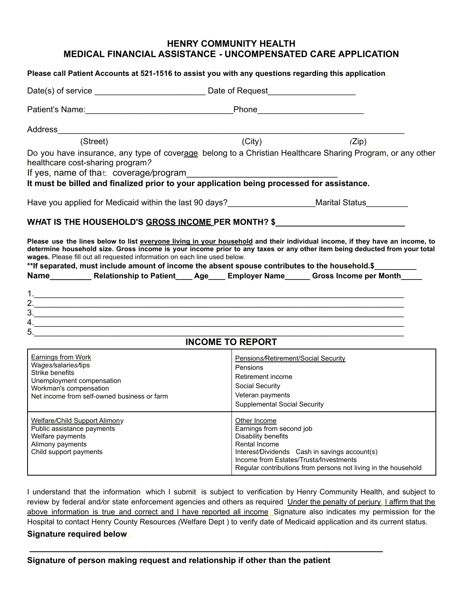## **HENRY COMMUNITY HEALTH MEDICAL FINANCIAL ASSISTANCE - UNCOMPENSATED CARE APPLICATION**

| Please call Patient Accounts at 521-1516 to assist you with any questions regarding this application.                                                                                                                                                                                                                                                                                                                                                                                                           |                                                                                                                                                                                                                                                 |  |
|-----------------------------------------------------------------------------------------------------------------------------------------------------------------------------------------------------------------------------------------------------------------------------------------------------------------------------------------------------------------------------------------------------------------------------------------------------------------------------------------------------------------|-------------------------------------------------------------------------------------------------------------------------------------------------------------------------------------------------------------------------------------------------|--|
|                                                                                                                                                                                                                                                                                                                                                                                                                                                                                                                 |                                                                                                                                                                                                                                                 |  |
|                                                                                                                                                                                                                                                                                                                                                                                                                                                                                                                 |                                                                                                                                                                                                                                                 |  |
|                                                                                                                                                                                                                                                                                                                                                                                                                                                                                                                 |                                                                                                                                                                                                                                                 |  |
| (Street)                                                                                                                                                                                                                                                                                                                                                                                                                                                                                                        | $\overline{(City)}$<br>(Zip)                                                                                                                                                                                                                    |  |
| Do you have insurance, any type of coverage, belong to a Christian Healthcare Sharing Program, or any other<br>healthcare cost-sharing program?<br>If yes, name of that coverage/program<br>It must be billed and finalized prior to your application being processed for assistance.                                                                                                                                                                                                                           |                                                                                                                                                                                                                                                 |  |
| Have you applied for Medicaid within the last 90 days?_____________________Marital Status_________                                                                                                                                                                                                                                                                                                                                                                                                              |                                                                                                                                                                                                                                                 |  |
| WHAT IS THE HOUSEHOLD'S GROSS INCOME PER MONTH? \$<br>Please use the lines below to list everyone living in your household and their individual income, if they have an income, to<br>determine household size. Gross income is your income prior to any taxes or any other item being deducted from your total<br>wages. Please fill out all requested information on each line used below.<br>** If separated, must include amount of income the absent spouse contributes to the household.\$_________<br>3. |                                                                                                                                                                                                                                                 |  |
| <b>INCOME TO REPORT</b>                                                                                                                                                                                                                                                                                                                                                                                                                                                                                         |                                                                                                                                                                                                                                                 |  |
| <b>Earnings from Work</b><br>Wages/salaries/tips<br>Strike benefits<br>Unemployment compensation<br>Workman's compensation<br>Net income from self-owned business or farm                                                                                                                                                                                                                                                                                                                                       | Pensions/Retirement/Social Security<br>Pensions<br>Retirement income<br>Social Security<br>Veteran payments<br><b>Supplemental Social Security</b>                                                                                              |  |
| <b>Welfare/Child Support Alimony</b><br>Public assistance payments<br>Welfare payments<br>Alimony payments<br>Child support payments                                                                                                                                                                                                                                                                                                                                                                            | Other Income<br>Earnings from second job<br>Disability benefits<br>Rental Income<br>Interest/Dividends - Cash in savings account(s)<br>Income from Estates/Trusts/Investments<br>Regular contributions from persons not living in the household |  |

I understand that the information, which I submit, is subject to verification by Henry Community Health, and subject to review by federal and*/*or state enforcement agencies and others as required. Under the penalty of perjury, I affirm that the above information is true and correct and I have reported all income. Signature also indicates my permission for the Hospital to contact Henry County Resources *(*Welfare Dept.) to verify date of Medicaid application and its current status. **Signature required below.**

**\_\_\_\_\_\_\_\_\_\_\_\_\_\_\_\_\_\_\_\_\_\_\_\_\_\_\_\_\_\_\_\_\_\_\_\_\_\_\_\_\_\_\_\_\_\_\_\_\_\_\_\_\_\_\_\_\_\_\_\_\_\_\_\_\_\_\_\_\_\_**